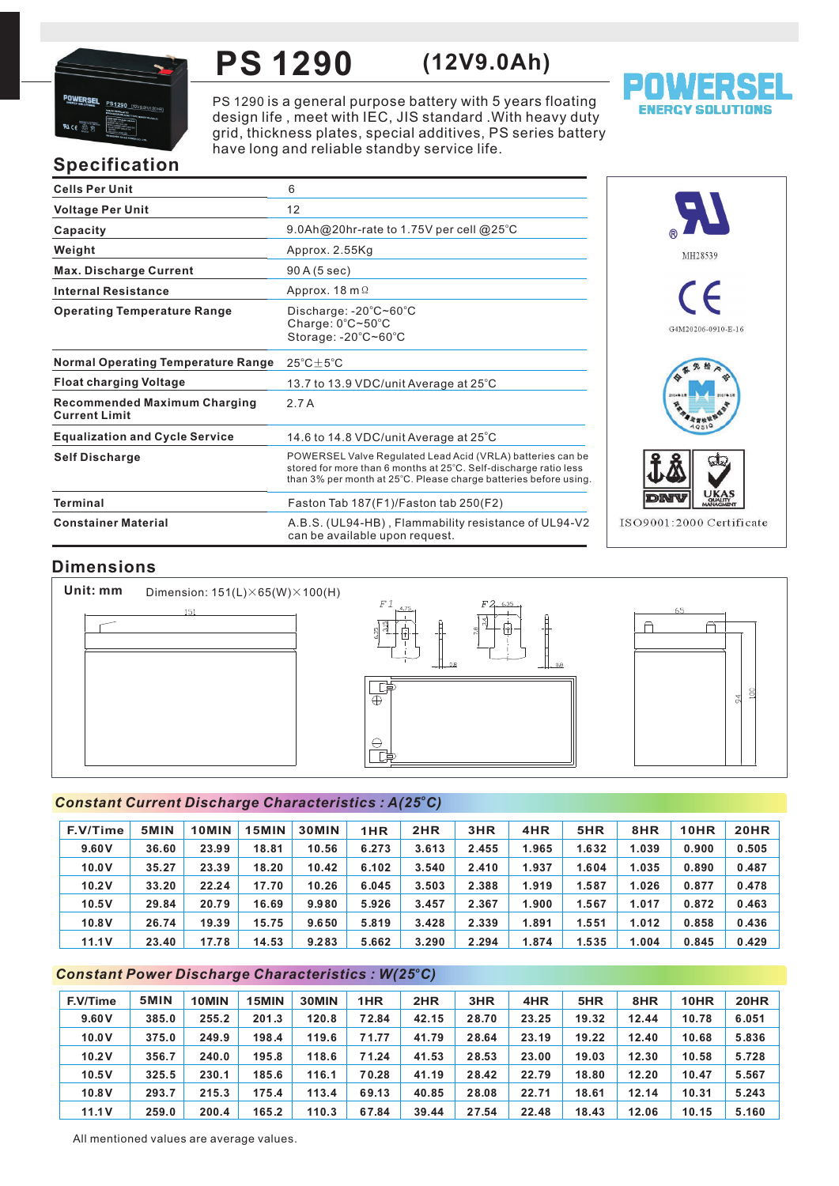

# **PS 1290 (12V9.0Ah)**

PS 1290 is a general purpose battery with 5 years floating design life , meet with IEC, JIS standard .With heavy duty grid, thickness plates, special additives, PS series battery have long and reliable standby service life.



# **Specification**

| <b>Cells Per Unit</b>                                       | 6                                                                                                                                                                                                  |
|-------------------------------------------------------------|----------------------------------------------------------------------------------------------------------------------------------------------------------------------------------------------------|
| <b>Voltage Per Unit</b>                                     | 12                                                                                                                                                                                                 |
| Capacity                                                    | 9.0Ah@20hr-rate to 1.75V per cell @25°C                                                                                                                                                            |
| Weight                                                      | Approx. 2.55Kg                                                                                                                                                                                     |
| <b>Max. Discharge Current</b>                               | 90 A (5 sec)                                                                                                                                                                                       |
| <b>Internal Resistance</b>                                  | Approx. 18 m $\Omega$                                                                                                                                                                              |
| <b>Operating Temperature Range</b>                          | Discharge: $-20^{\circ}$ C $\sim$ 60 $^{\circ}$ C<br>Charge: 0°C~50°C<br>Storage: -20°C~60°C                                                                                                       |
| <b>Normal Operating Temperature Range</b>                   | $25^{\circ}$ C + $5^{\circ}$ C                                                                                                                                                                     |
| <b>Float charging Voltage</b>                               | 13.7 to 13.9 VDC/unit Average at 25°C                                                                                                                                                              |
| <b>Recommended Maximum Charging</b><br><b>Current Limit</b> | 2.7A                                                                                                                                                                                               |
| <b>Equalization and Cycle Service</b>                       | 14.6 to 14.8 VDC/unit Average at $25^{\circ}$ C                                                                                                                                                    |
| <b>Self Discharge</b>                                       | POWERSEL Valve Regulated Lead Acid (VRLA) batteries can be<br>stored for more than 6 months at 25°C. Self-discharge ratio less<br>than 3% per month at 25°C. Please charge batteries before using. |
| Terminal                                                    | Faston Tab 187(F1)/Faston tab 250(F2)                                                                                                                                                              |
| <b>Constainer Material</b>                                  | A.B.S. (UL94-HB), Flammability resistance of UL94-V2<br>can be available upon request.                                                                                                             |



# **Dimensions**

**Unit: mm** Dimension: 151(L)×65(W)×100(H)  $151$ 





#### *<sup>o</sup> Constant Current Discharge Characteristics : A(25 C)*

| F.V/Time | 5MIN  | 10MIN | 15MIN | <b>30MIN</b> | 1HR   | 2HR   | 3HR   | 4HR   | 5HR   | 8HR   | 10HR  | <b>20HR</b> |
|----------|-------|-------|-------|--------------|-------|-------|-------|-------|-------|-------|-------|-------------|
| 9.60V    | 36.60 | 23.99 | 18.81 | 10.56        | 6.273 | 3.613 | 2.455 | . 965 | 1.632 | 1.039 | 0.900 | 0.505       |
| 10.0V    | 35.27 | 23.39 | 18.20 | 10.42        | 6.102 | 3.540 | 2.410 | 1.937 | 1.604 | 1.035 | 0.890 | 0.487       |
| 10.2V    | 33.20 | 22.24 | 17.70 | 10.26        | 6.045 | 3.503 | 2.388 | 1.919 | 1.587 | 1.026 | 0.877 | 0.478       |
| 10.5V    | 29.84 | 20.79 | 16.69 | 9.980        | 5.926 | 3.457 | 2.367 | 1.900 | 1.567 | 1.017 | 0.872 | 0.463       |
| 10.8V    | 26.74 | 19.39 | 15.75 | 9.650        | 5.819 | 3.428 | 2.339 | 1.891 | 1.551 | 1.012 | 0.858 | 0.436       |
| 11.1V    | 23.40 | 17.78 | 14.53 | 9.283        | 5.662 | 3.290 | 2.294 | 1.874 | 1.535 | 1.004 | 0.845 | 0.429       |

### *<sup>o</sup> Constant Power Discharge Characteristics : W(25 C)*

| F.V/Time | 5MIN  | 10MIN | 15MIN | 30MIN | 1HR   | 2HR   | 3HR   | 4HR   | 5HR   | 8HR   | 10HR  | 20HR  |
|----------|-------|-------|-------|-------|-------|-------|-------|-------|-------|-------|-------|-------|
| 9.60V    | 385.0 | 255.2 | 201.3 | 120.8 | 72.84 | 42.15 | 28.70 | 23.25 | 19.32 | 12.44 | 10.78 | 6.051 |
| 10.0V    | 375.0 | 249.9 | 198.4 | 119.6 | 71.77 | 41.79 | 28.64 | 23.19 | 19.22 | 12.40 | 10.68 | 5.836 |
| 10.2V    | 356.7 | 240.0 | 195.8 | 118.6 | 71.24 | 41.53 | 28.53 | 23.00 | 19.03 | 12.30 | 10.58 | 5.728 |
| 10.5V    | 325.5 | 230.1 | 185.6 | 116.1 | 70.28 | 41.19 | 28.42 | 22.79 | 18.80 | 12.20 | 10.47 | 5.567 |
| 10.8V    | 293.7 | 215.3 | 175.4 | 113.4 | 69.13 | 40.85 | 28.08 | 22.71 | 18.61 | 12.14 | 10.31 | 5.243 |
| 11.1V    | 259.0 | 200.4 | 165.2 | 110.3 | 67.84 | 39.44 | 27.54 | 22.48 | 18.43 | 12.06 | 10.15 | 5.160 |

All mentioned values are average values.